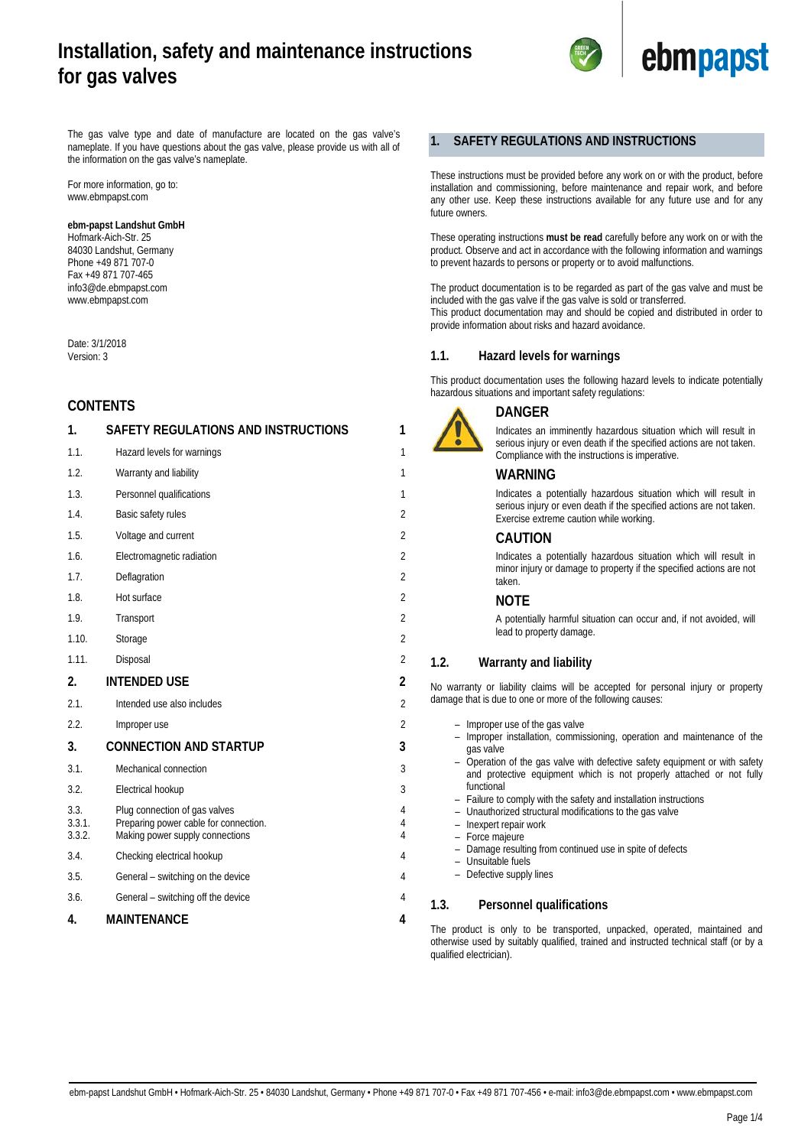

The gas valve type and date of manufacture are located on the gas valve's nameplate. If you have questions about the gas valve, please provide us with all of the information on the gas valve's nameplate.

For more information, go to: www.ebmpapst.com

#### **ebm-papst Landshut GmbH**

Hofmark-Aich-Str. 25 84030 Landshut, Germany Phone +49 871 707-0 Fax +49 871 707-465 info3@de.ebmpapst.com www.ebmpapst.com

Date: 3/1/2018 Version: 3

# **CONTENTS**

| 1.                       | SAFETY REGULATIONS AND INSTRUCTIONS                                                                       | 1                        |
|--------------------------|-----------------------------------------------------------------------------------------------------------|--------------------------|
| 1.1.                     | Hazard levels for warnings                                                                                | 1                        |
| 1.2.                     | Warranty and liability                                                                                    | 1                        |
| 1.3.                     | Personnel qualifications                                                                                  | 1                        |
| 1.4.                     | Basic safety rules                                                                                        | $\overline{2}$           |
| 1.5.                     | Voltage and current                                                                                       | $\overline{2}$           |
| 1.6.                     | Electromagnetic radiation                                                                                 | $\overline{2}$           |
| 1.7.                     | Deflagration                                                                                              | $\overline{2}$           |
| 1.8.                     | Hot surface                                                                                               | $\overline{2}$           |
| 1.9.                     | Transport                                                                                                 | $\overline{2}$           |
| 1.10.                    | Storage                                                                                                   | $\overline{2}$           |
| 1.11.                    | Disposal                                                                                                  | $\overline{2}$           |
| 2.                       | <b>INTENDED USE</b>                                                                                       | 2                        |
| 21                       | Intended use also includes                                                                                | $\overline{2}$           |
| 2.2.                     | Improper use                                                                                              | $\overline{2}$           |
| 3.                       | <b>CONNECTION AND STARTUP</b>                                                                             | 3                        |
| 3.1.                     | Mechanical connection                                                                                     | 3                        |
| 3.2.                     | Electrical hookup                                                                                         | 3                        |
| 3.3.<br>3.3.1.<br>3.3.2. | Plug connection of gas valves<br>Preparing power cable for connection.<br>Making power supply connections | 4<br>4<br>$\overline{4}$ |
| 3.4.                     | Checking electrical hookup                                                                                | 4                        |
| 3.5.                     | General – switching on the device                                                                         | 4                        |
| 3.6.                     | General - switching off the device                                                                        | 4                        |
| 4.                       | <b>MAINTENANCE</b>                                                                                        | 4                        |
|                          |                                                                                                           |                          |

# <span id="page-0-0"></span>**1. SAFETY REGULATIONS AND INSTRUCTIONS**

These instructions must be provided before any work on or with the product, before installation and commissioning, before maintenance and repair work, and before any other use. Keep these instructions available for any future use and for any future owners.

These operating instructions **must be read** carefully before any work on or with the product. Observe and act in accordance with the following information and warnings to prevent hazards to persons or property or to avoid malfunctions.

The product documentation is to be regarded as part of the gas valve and must be included with the gas valve if the gas valve is sold or transferred. This product documentation may and should be copied and distributed in order to provide information about risks and hazard avoidance.

# <span id="page-0-1"></span>**1.1. Hazard levels for warnings**

This product documentation uses the following hazard levels to indicate potentially hazardous situations and important safety regulations:



# **DANGER**

Indicates an imminently hazardous situation which will result in serious injury or even death if the specified actions are not taken. Compliance with the instructions is imperative.

## **WARNING**

Indicates a potentially hazardous situation which will result in serious injury or even death if the specified actions are not taken. Exercise extreme caution while working.

# **CAUTION**

Indicates a potentially hazardous situation which will result in minor injury or damage to property if the specified actions are not taken.

# **NOTE**

A potentially harmful situation can occur and, if not avoided, will lead to property damage.

# <span id="page-0-2"></span>**1.2. Warranty and liability**

No warranty or liability claims will be accepted for personal injury or property damage that is due to one or more of the following causes:

- 
- Improper use of the gas valve<br>– Improper installation, commis – Improper installation, commissioning, operation and maintenance of the gas valve
- Operation of the gas valve with defective safety equipment or with safety and protective equipment which is not properly attached or not fully functional
- Failure to comply with the safety and installation instructions
- Unauthorized structural modifications to the gas valve
- Inexpert repair work
- Force majeure
	- Damage resulting from continued use in spite of defects
- Unsuitable fuels
- Defective supply lines

### <span id="page-0-3"></span>**1.3. Personnel qualifications**

The product is only to be transported, unpacked, operated, maintained and otherwise used by suitably qualified, trained and instructed technical staff (or by a qualified electrician).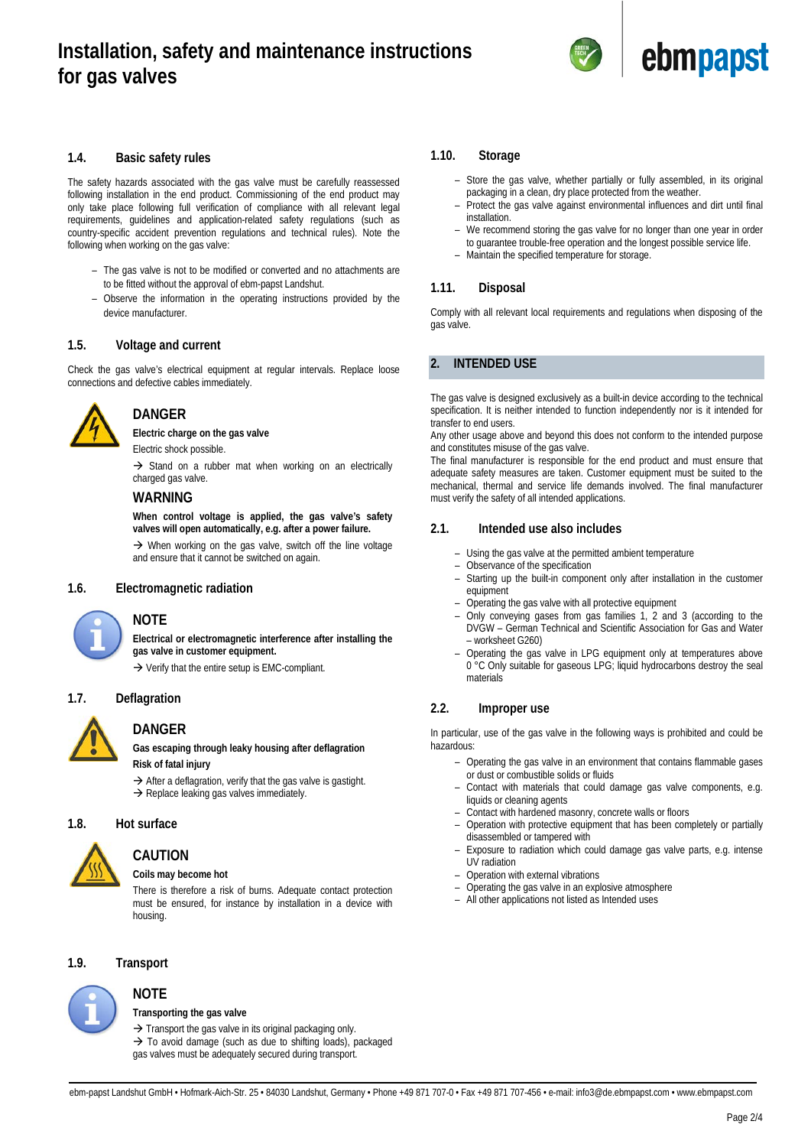

# <span id="page-1-0"></span>**1.4. Basic safety rules**

The safety hazards associated with the gas valve must be carefully reassessed following installation in the end product. Commissioning of the end product may only take place following full verification of compliance with all relevant legal requirements, guidelines and application-related safety regulations (such as country-specific accident prevention regulations and technical rules). Note the following when working on the gas valve:

- The gas valve is not to be modified or converted and no attachments are to be fitted without the approval of ebm-papst Landshut.
- Observe the information in the operating instructions provided by the device manufacturer.

## <span id="page-1-1"></span>**1.5. Voltage and current**

Check the gas valve's electrical equipment at regular intervals. Replace loose connections and defective cables immediately.



# **DANGER**

**Electric charge on the gas valve**

Electric shock possible.

 $\rightarrow$  Stand on a rubber mat when working on an electrically charged gas valve.

# **WARNING**

**When control voltage is applied, the gas valve's safety valves will open automatically, e.g. after a power failure.**

 $\rightarrow$  When working on the gas valve, switch off the line voltage and ensure that it cannot be switched on again.

# <span id="page-1-2"></span>**1.6. Electromagnetic radiation**



# **NOTE**

**Electrical or electromagnetic interference after installing the gas valve in customer equipment.**

 $\rightarrow$  Verify that the entire setup is EMC-compliant.

## <span id="page-1-3"></span>**1.7. Deflagration**



# **DANGER**

**Gas escaping through leaky housing after deflagration Risk of fatal injury**

 $\rightarrow$  After a deflagration, verify that the gas valve is gastight.  $\rightarrow$  Replace leaking gas valves immediately.

### <span id="page-1-4"></span>**1.8. Hot surface**



# **CAUTION**

**Coils may become hot**

There is therefore a risk of burns. Adequate contact protection must be ensured, for instance by installation in a device with housing.

# <span id="page-1-5"></span>**1.9. Transport**

**NOTE**



# **Transporting the gas valve**

 $\rightarrow$  Transport the gas valve in its original packaging only.

 $\rightarrow$  To avoid damage (such as due to shifting loads), packaged gas valves must be adequately secured during transport.

#### <span id="page-1-6"></span>**1.10. Storage**

- Store the gas valve, whether partially or fully assembled, in its original packaging in a clean, dry place protected from the weather.
- Protect the gas valve against environmental influences and dirt until final installation.
- We recommend storing the gas valve for no longer than one year in order to guarantee trouble-free operation and the longest possible service life.
- Maintain the specified temperature for storage.

# <span id="page-1-7"></span>**1.11. Disposal**

Comply with all relevant local requirements and regulations when disposing of the gas valve.

# <span id="page-1-8"></span>**2. INTENDED USE**

The gas valve is designed exclusively as a built-in device according to the technical specification. It is neither intended to function independently nor is it intended for transfer to end users.

Any other usage above and beyond this does not conform to the intended purpose and constitutes misuse of the gas valve.

The final manufacturer is responsible for the end product and must ensure that adequate safety measures are taken. Customer equipment must be suited to the mechanical, thermal and service life demands involved. The final manufacturer must verify the safety of all intended applications.

# <span id="page-1-9"></span>**2.1. Intended use also includes**

- Using the gas valve at the permitted ambient temperature
- Observance of the specification
	- Starting up the built-in component only after installation in the customer equipment
- Operating the gas valve with all protective equipment
- Only conveying gases from gas families 1, 2 and 3 (according to the DVGW – German Technical and Scientific Association for Gas and Water – worksheet G260)
- Operating the gas valve in LPG equipment only at temperatures above 0 °C Only suitable for gaseous LPG; liquid hydrocarbons destroy the seal materials

# <span id="page-1-10"></span>**2.2. Improper use**

In particular, use of the gas valve in the following ways is prohibited and could be hazardous:

- Operating the gas valve in an environment that contains flammable gases or dust or combustible solids or fluids
- Contact with materials that could damage gas valve components, e.g. liquids or cleaning agents
- Contact with hardened masonry, concrete walls or floors
- Operation with protective equipment that has been completely or partially disassembled or tampered with
- Exposure to radiation which could damage gas valve parts, e.g. intense UV radiation
- Operation with external vibrations
- Operating the gas valve in an explosive atmosphere
- All other applications not listed as Intended uses

ebm-papst Landshut GmbH • Hofmark-Aich-Str. 25 • 84030 Landshut, Germany • Phone +49 871 707-0 • Fax +49 871 707-456 • e-mail: info3@de.ebmpapst.com • www.ebmpapst.com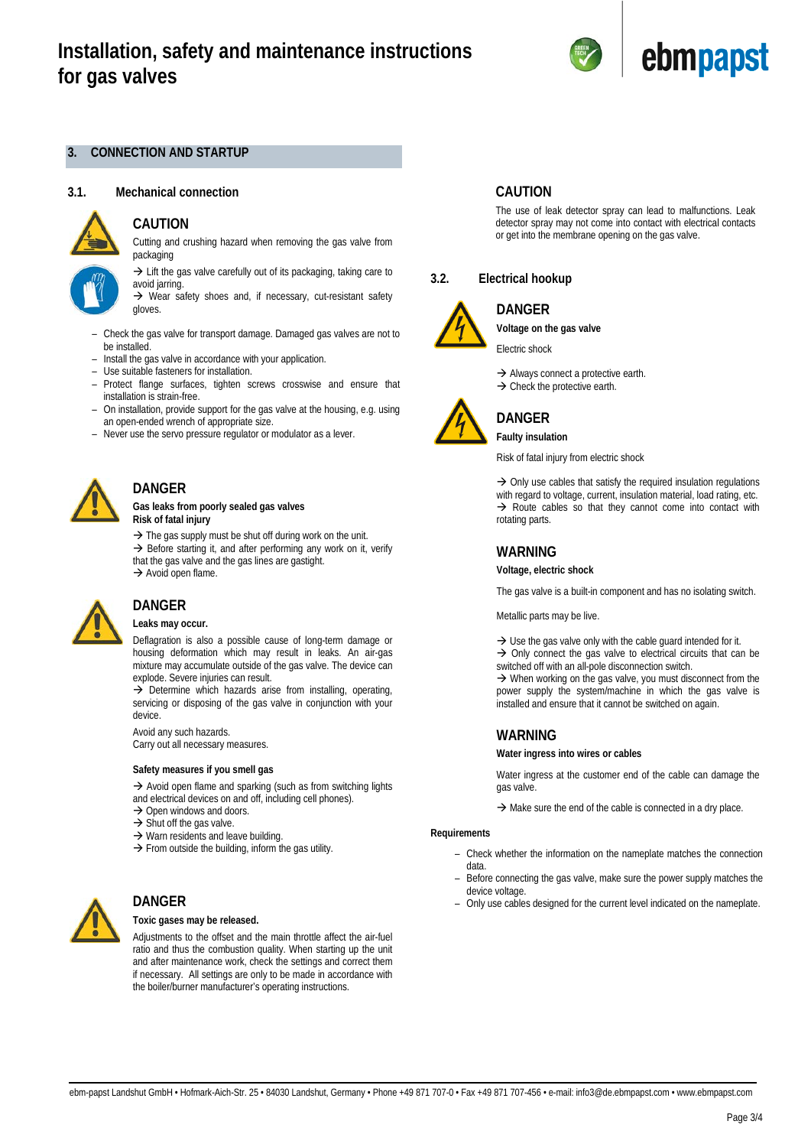

## <span id="page-2-0"></span>**3. CONNECTION AND STARTUP**

#### <span id="page-2-1"></span>**3.1. Mechanical connection**



# **CAUTION**

Cutting and crushing hazard when removing the gas valve from packaging

 $\rightarrow$  Lift the gas valve carefully out of its packaging, taking care to avoid jarring.

 $\rightarrow$  Wear safety shoes and, if necessary, cut-resistant safety gloves.

- Check the gas valve for transport damage. Damaged gas valves are not to be installed.
- Install the gas valve in accordance with your application.
- Use suitable fasteners for installation.
- Protect flange surfaces, tighten screws crosswise and ensure that installation is strain-free.
- On installation, provide support for the gas valve at the housing, e.g. using an open-ended wrench of appropriate size.
- Never use the servo pressure regulator or modulator as a lever.



# **DANGER**

**Gas leaks from poorly sealed gas valves Risk of fatal injury**

 $\rightarrow$  The gas supply must be shut off during work on the unit.

 $\rightarrow$  Before starting it, and after performing any work on it, verify that the gas valve and the gas lines are gastight.  $\rightarrow$  Avoid open flame.



## **DANGER Leaks may occur.**

Deflagration is also a possible cause of long-term damage or housing deformation which may result in leaks. An air-gas mixture may accumulate outside of the gas valve. The device can explode. Severe injuries can result.

 $\rightarrow$  Determine which hazards arise from installing, operating, servicing or disposing of the gas valve in conjunction with your device.

Avoid any such hazards. Carry out all necessary measures.

#### **Safety measures if you smell gas**

 $\rightarrow$  Avoid open flame and sparking (such as from switching lights and electrical devices on and off, including cell phones).

- $\rightarrow$  Open windows and doors.
- 
- $\rightarrow$  Shut off the gas valve.
- $\rightarrow$  Warn residents and leave building.
- $\rightarrow$  From outside the building, inform the gas utility.



# **DANGER**

# **Toxic gases may be released.**

Adjustments to the offset and the main throttle affect the air-fuel ratio and thus the combustion quality. When starting up the unit and after maintenance work, check the settings and correct them if necessary. All settings are only to be made in accordance with the boiler/burner manufacturer's operating instructions.

# **CAUTION**

The use of leak detector spray can lead to malfunctions. Leak detector spray may not come into contact with electrical contacts or get into the membrane opening on the gas valve.

# <span id="page-2-2"></span>**3.2. Electrical hookup**



# **DANGER**

**Voltage on the gas valve**

Electric shock

 $\rightarrow$  Always connect a protective earth.  $\rightarrow$  Check the protective earth.



Risk of fatal injury from electric shock

 $\rightarrow$  Only use cables that satisfy the required insulation regulations with regard to voltage, current, insulation material, load rating, etc.  $\rightarrow$  Route cables so that they cannot come into contact with rotating parts.

# **WARNING**

**Voltage, electric shock**

The gas valve is a built-in component and has no isolating switch.

#### Metallic parts may be live.

 $\rightarrow$  Use the gas valve only with the cable guard intended for it.  $\rightarrow$  Only connect the gas valve to electrical circuits that can be switched off with an all-pole disconnection switch.  $\rightarrow$  When working on the gas valve, you must disconnect from the power supply the system/machine in which the gas valve is installed and ensure that it cannot be switched on again.

# **WARNING**

#### **Water ingress into wires or cables**

Water ingress at the customer end of the cable can damage the gas valve.

 $\rightarrow$  Make sure the end of the cable is connected in a dry place.

#### **Requirements**

- Check whether the information on the nameplate matches the connection data.
- Before connecting the gas valve, make sure the power supply matches the device voltage.
- Only use cables designed for the current level indicated on the nameplate.